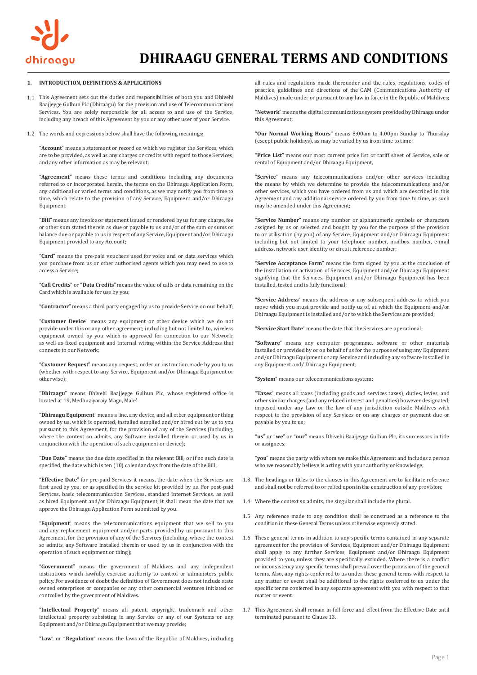

### **INTRODUCTION, DEFINITIONS & APPLICATIONS 1.**

- This Agreement sets out the duties and responsibilities of both you and Dhivehi 1.1 Raajjeyge Gulhun Plc (Dhiraagu) for the provision and use of Telecommunications Services. You are solely responsible for all access to and use of the Service, including any breach of this Agreement by you or any other user of your Service.
- The words and expressions below shall have the following meanings: 1.2

"**Account**" means a statement or record on which we register the Services, which are to be provided, as well as any charges or credits with regard to those Services, and any other information as may be relevant;

"**Agreement**" means these terms and conditions including any documents referred to or incorporated herein, the terms on the Dhiraagu Application Form, any additional or varied terms and conditions, as we may notify you from time to time, which relate to the provision of any Service, Equipment and/or Dhiraagu Equipment;

"**Bill**" means any invoice or statement issued or rendered by us for any charge, fee or other sum stated therein as due or payable to us and/or of the sum or sums or balance due or payable to us in respect of any Service, Equipment and/or Dhiraagu Equipment provided to any Account;

"**Card**" means the pre-paid vouchers used for voice and or data services which you purchase from us or other authorised agents which you may need to use to access a Service;

"**Call Credits**" or "**Data Credits**" means the value of calls or data remaining on the Card which is available for use by you;

"**Contractor**" means a third party engaged by us to provide Service on our behalf;

"**Customer Device**" means any equipment or other device which we do not provide under this or any other agreement; including but not limited to, wireless equipment owned by you which is approved for connection to our Network, as well as fixed equipment and internal wiring within the Service Address that connects to our Network;

"**Customer Request**" means any request, order or instruction made by you to us (whether with respect to any Service, Equipment and/or Dhiraagu Equipment or otherwise);

"**Dhiraagu**" means Dhivehi Raajjeyge Gulhun Plc, whose registered office is located at 19, Medhuziyaraiy Magu, Male'.

"**Dhiraagu Equipment**" means a line, any device, and all other equipment or thing owned by us, which is operated, installed supplied and/or hired out by us to you pursuant to this Agreement, for the provision of any of the Services (including, where the context so admits, any Software installed therein or used by us in conjunction with the operation of such equipment or device);

"**Due Date**" means the due date specified in the relevant Bill, or if no such date is specified, the date which is ten (10) calendar days from the date of the Bill;

"**Effective Date**" for pre-paid Services it means, the date when the Services are first used by you, or as specified in the service kit provided by us. For post-paid Services, basic telecommunication Services, standard internet Services, as well as hired Equipment and/or Dhiraagu Equipment, it shall mean the date that we approve the Dhiraagu Application Form submitted by you.

"**Equipment**" means the telecommunications equipment that we sell to you and any replacement equipment and/or parts provided by us pursuant to this Agreement, for the provision of any of the Services (including, where the context so admits, any Software installed therein or used by us in conjunction with the operation of such equipment or thing);

"**Government**" means the government of Maldives and any independent institutions which lawfully exercise authority to control or administers public policy. For avoidance of doubt the definition of Government does not include state owned enterprises or companies or any other commercial ventures initiated or controlled by the government of Maldives.

"**Intellectual Property**" means all patent, copyright, trademark and other intellectual property subsisting in any Service or any of our Systems or any Equipment and/or Dhiraagu Equipment that we may provide;

"**Law**" or "**Regulation**" means the laws of the Republic of Maldives, including

all rules and regulations made thereunder and the rules, regulations, codes of practice, guidelines and directions of the CAM (Communications Authority of Maldives) made under or pursuant to any law in force in the Republic of Maldives;

"**Network**" means the digital communications system provided by Dhiraagu under this Agreement;

"**Our Normal Working Hours"** means 8:00am to 4.00pm Sunday to Thursday (except public holidays), as may be varied by us from time to time;

"**Price List**" means our most current price list or tariff sheet of Service, sale or rental of Equipment and/or Dhiraagu Equipment,

"**Service**" means any telecommunications and/or other services including the means by which we determine to provide the telecommunications and/or other services, which you have ordered from us and which are described in this Agreement and any additional service ordered by you from time to time, as such may be amended under this Agreement;

"**Service Number**" means any number or alphanumeric symbols or characters assigned by us or selected and bought by you for the purpose of the provision to or utilisation (by you) of any Service, Equipment and/or Dhiraagu Equipment including but not limited to your telephone number, mailbox number, e-mail address, network user identity or circuit reference number;

"**Service Acceptance Form**" means the form signed by you at the conclusion of the installation or activation of Services, Equipment and/or Dhiraagu Equipment signifying that the Services, Equipment and/or Dhiraagu Equipment has been installed, tested and is fully functional;

"**Service Address**" means the address or any subsequent address to which you move which you must provide and notify us of, at which the Equipment and/or Dhiraagu Equipment is installed and/or to which the Services are provided;

"**Service Start Date**" means the date that the Services are operational;

"**Software**" means any computer programme, software or other materials installed or provided by or on behalf of us for the purpose of using any Equipment and/or Dhiraagu Equipment or any Service and including any software installed in any Equipment and/ Dhiraagu Equipment;

"**System**" means our telecommunications system;

"**Taxes**" means all taxes (including goods and services taxes), duties, levies, and other similar charges (and any related interest and penalties) however designated, imposed under any Law or the law of any jurisdiction outside Maldives with respect to the provision of any Services or on any charges or payment due or payable by you to us;

"**us**" or "**we**" or "**our**" means Dhivehi Raajjeyge Gulhun Plc, its successors in title or assignees;

"**you**" means the party with whom we make this Agreement and includes a person who we reasonably believe is acting with your authority or knowledge;

- 1.3 The headings or titles to the clauses in this Agreement are to facilitate reference and shall not be referred to or relied upon in the construction of any provision;
- 1.4 Where the context so admits, the singular shall include the plural.
- 1.5 Any reference made to any condition shall be construed as a reference to the condition in these General Terms unless otherwise expressly stated.
- 1.6 These general terms in addition to any specific terms contained in any separate agreement for the provision of Services, Equipment and/or Dhiraagu Equipment shall apply to any further Services, Equipment and/or Dhiraagu Equipment provided to you, unless they are specifically excluded. Where there is a conflict or inconsistency any specific terms shall prevail over the provision of the general terms. Also, any rights conferred to us under these general terms with respect to any matter or event shall be additional to the rights conferred to us under the specific terms conferred in any separate agreement with you with respect to that matter or event.
- 1.7 This Agreement shall remain in full force and effect from the Effective Date until terminated pursuant to Clause 13.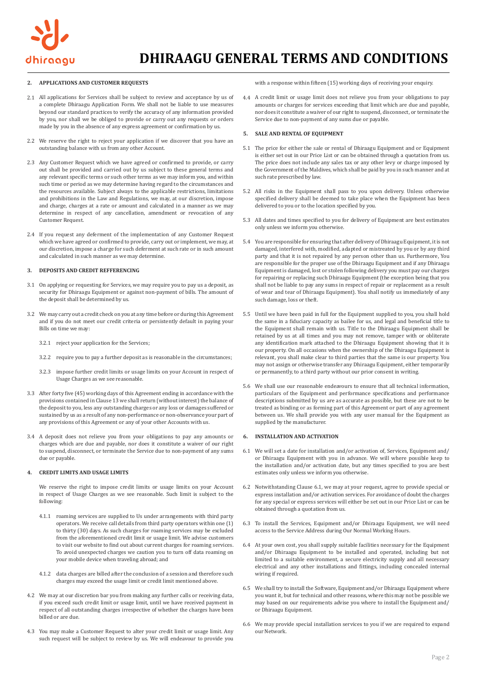

## **APPLICATIONS AND CUSTOMER REQUESTS 2.**

- All applications for Services shall be subject to review and acceptance by us of 2.1 a complete Dhiraagu Application Form. We shall not be liable to use measures beyond our standard practices to verify the accuracy of any information provided by you, nor shall we be obliged to provide or carry out any requests or orders made by you in the absence of any express agreement or confirmation by us.
- 2.2 We reserve the right to reject your application if we discover that you have an outstanding balance with us from any other Account.
- 2.3 Any Customer Request which we have agreed or confirmed to provide, or carry out shall be provided and carried out by us subject to these general terms and any relevant specific terms or such other terms as we may inform you, and within such time or period as we may determine having regard to the circumstances and the resources available. Subject always to the applicable restrictions, limitations and prohibitions in the Law and Regulations, we may, at our discretion, impose and charge, charges at a rate or amount and calculated in a manner as we may determine in respect of any cancellation, amendment or revocation of any Customer Request.
- 2.4 If you request any deferment of the implementation of any Customer Request which we have agreed or confirmed to provide, carry out or implement, we may, at our discretion, impose a charge for such deferment at such rate or in such amount and calculated in such manner as we may determine.

### **DEPOSITS AND CREDIT REFFERENCING 3.**

- 3.1 On applying or requesting for Services, we may require you to pay us a deposit, as security for Dhiraagu Equipment or against non-payment of bills. The amount of the deposit shall be determined by us.
- We may carry out a credit check on you at any time before or during this Agreement 3.2 and if you do not meet our credit criteria or persistently default in paying your Bills on time we may:
	- 3.2.1 reject your application for the Services;
	- 3.2.2 require you to pay a further deposit as is reasonable in the circumstances;
	- 3.2.3 Impose further credit limits or usage limits on your Account in respect of Usage Charges as we see reasonable.
- After forty five (45) working days of this Agreement ending in accordance with the 3.3 provisions contained in Clause 13 we shall return (without interest) the balance of the deposit to you, less any outstanding charges or any loss or damages suffered or sustained by us as a result of any non-performance or non-observance your part of any provisions of this Agreement or any of your other Accounts with us.
- A deposit does not relieve you from your obligations to pay any amounts or 3.4 charges which are due and payable, nor does it constitute a waiver of our right to suspend, disconnect, or terminate the Service due to non-payment of any sums due or payable.

### **CREDIT LIMITS AND USAGE LIMITS 4.**

We reserve the right to impose credit limits or usage limits on your Account in respect of Usage Charges as we see reasonable. Such limit is subject to the following:

- 4.1.1 Froaming services are supplied to Us under arrangements with third party operators. We receive call details from third party operators within one (1) to thirty (30) days. As such charges for roaming services may be excluded from the aforementioned credit limit or usage limit. We advise customers to visit our website to find out about current charges for roaming services. To avoid unexpected charges we caution you to turn off data roaming on your mobile device when traveling abroad; and
- data charges are billed after the conclusion of a session and therefore such 4.1.2 charges may exceed the usage limit or credit limit mentioned above.
- We may at our discretion bar you from making any further calls or receiving data, 4.2 if you exceed such credit limit or usage limit, until we have received payment in respect of all outstanding charges irrespective of whether the charges have been billed or are due.
- You may make a Customer Request to alter your credit limit or usage limit. Any 4.3 such request will be subject to review by us. We will endeavour to provide you

with a response within fifteen (15) working days of receiving your enquiry.

4.4 A credit limit or usage limit does not relieve you from your obligations to pay amounts or charges for services exceeding that limit which are due and payable, nor does it constitute a waiver of our right to suspend, disconnect, or terminate the Service due to non-payment of any sums due or payable.

### **5. SALE AND RENTAL OF EQUIPMENT**

- 5.1 The price for either the sale or rental of Dhiraagu Equipment and or Equipment is either set out in our Price List or can be obtained through a quotation from us. The price does not include any sales tax or any other levy or charge imposed by the Government of the Maldives, which shall be paid by you in such manner and at such rate prescribed by law.
- 5.2 All risks in the Equipment shall pass to you upon delivery. Unless otherwise specified delivery shall be deemed to take place when the Equipment has been delivered to you or to the location specified by you.
- 5.3 All dates and times specified to you for delivery of Equipment are best estimates only unless we inform you otherwise.
- 5.4 You are responsible for ensuring that after delivery of Dhiraagu Equipment, it is not damaged, interfered with, modified, adapted or mistreated by you or by any third party and that it is not repaired by any person other than us. Furthermore, You are responsible for the proper use of the Dhiraagu Equipment and if any Dhiraagu Equipment is damaged, lost or stolen following delivery you must pay our charges for repairing or replacing such Dhiraagu Equipment (the exception being that you shall not be liable to pay any sums in respect of repair or replacement as a result of wear and tear of Dhiraagu Equipment). You shall notify us immediately of any such damage, loss or theft.
- 5.5 Until we have been paid in full for the Equipment supplied to you, you shall hold the same in a fiduciary capacity as bailee for us, and legal and beneficial title to the Equipment shall remain with us. Title to the Dhiraagu Equipment shall be retained by us at all times and you may not remove, tamper with or obliterate any identification mark attached to the Dhiraagu Equipment showing that it is our property. On all occasions when the ownership of the Dhiraagu Equipment is relevant, you shall make clear to third parties that the same is our property. You may not assign or otherwise transfer any Dhiraagu Equipment, either temporarily or permanently, to a third party without our prior consent in writing.
- 5.6 We shall use our reasonable endeavours to ensure that all technical information, particulars of the Equipment and performance specifications and performance descriptions submitted by us are as accurate as possible, but these are not to be treated as binding or as forming part of this Agreement or part of any agreement between us. We shall provide you with any user manual for the Equipment as supplied by the manufacturer.

### **6. INSTALLATION AND ACTIVATION**

- 6.1 We will set a date for installation and/or activation of, Services, Equipment and/ or Dhiraagu Equipment with you in advance. We will where possible keep to the installation and/or activation date, but any times specified to you are best estimates only unless we inform you otherwise.
- 6.2 Notwithstanding Clause 6.1, we may at your request, agree to provide special or express installation and/or activation services. For avoidance of doubt the charges for any special or express services will either be set out in our Price List or can be obtained through a quotation from us.
- 6.3 To install the Services, Equipment and/or Dhiraagu Equipment, we will need access to the Service Address during Our Normal Working Hours.
- 6.4 At your own cost, you shall supply suitable facilities necessary for the Equipment and/or Dhiraagu Equipment to be installed and operated, including but not limited to a suitable environment, a secure electricity supply and all necessary electrical and any other installations and fittings, including concealed internal wiring if required.
- 6.5 We shall try to install the Software, Equipment and/or Dhiraagu Equipment where you want it, but for technical and other reasons, where this may not be possible we may based on our requirements advise you where to install the Equipment and/ or Dhiraagu Equipment.
- 6.6 We may provide special installation services to you if we are required to expand our Network.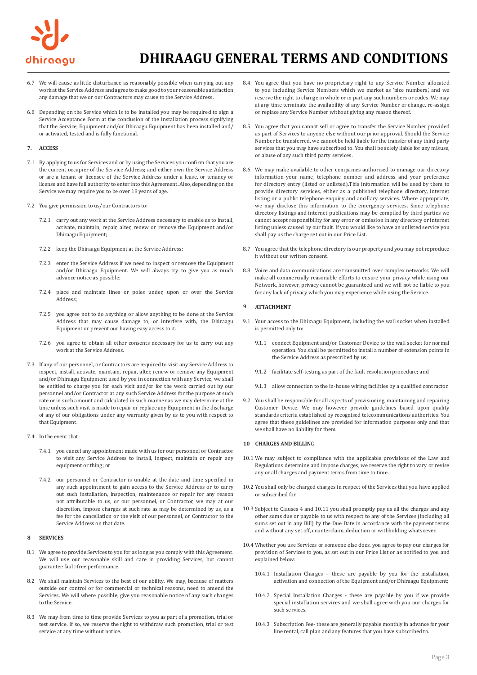

- 6.7 We will cause as little disturbance as reasonably possible when carrying out any work at the Service Address and agree to make good to your reasonable satisfaction any damage that we or our Contractors may cause to the Service Address.
- 6.8 Depending on the Service which is to be installed you may be required to sign a Service Acceptance Form at the conclusion of the installation process signifying that the Service, Equipment and/or Dhiraagu Equipment has been installed and/ or activated, tested and is fully functional.

### **7. ACCESS**

- 7.1 By applying to us for Services and or by using the Services you confirm that you are the current occupier of the Service Address; and either own the Service Address or are a tenant or licensee of the Service Address under a lease, or tenancy or license and have full authority to enter into this Agreement. Also, depending on the Service we may require you to be over 18 years of age.
- 7.2 You give permission to us/our Contractors to:
	- carry out any work at the Service Address necessary to enable us to install, 7.2.1 activate, maintain, repair, alter, renew or remove the Equipment and/or Dhiraagu Equipment;
	- 7.2.2 keep the Dhiraagu Equipment at the Service Address;
	- 7.2.3 enter the Service Address if we need to inspect or remove the Equipment and/or Dhiraagu Equipment. We will always try to give you as much advance notice as possible;
	- place and maintain lines or poles under, upon or over the Service 7.2.4 Address;
	- 7.2.5 you agree not to do anything or allow anything to be done at the Service Address that may cause damage to, or interfere with, the Dhiraagu Equipment or prevent our having easy access to it.
	- 7.2.6 you agree to obtain all other consents necessary for us to carry out any  $9.1.1$ work at the Service Address.
- 7.3 If any of our personnel, or Contractors are required to visit any Service Address to inspect, install, activate, maintain, repair, alter, renew or remove any Equipment and/or Dhiraagu Equipment used by you in connection with any Service, we shall be entitled to charge you for each visit and/or for the work carried out by our personnel and/or Contractor at any such Service Address for the purpose at such rate or in such amount and calculated in such manner as we may determine at the time unless such visit is made to repair or replace any Equipment in the discharge of any of our obligations under any warranty given by us to you with respect to that Equipment.
- 7.4 In the event that:
	- 7.4.1 you cancel any appointment made with us for our personnel or Contractor to visit any Service Address to install, inspect, maintain or repair any equipment or thing; or
	- 7.4.2 our personnel or Contractor is unable at the date and time specified in any such appointment to gain access to the Service Address or to carry out such installation, inspection, maintenance or repair for any reason not attributable to us, or our personnel, or Contractor, we may at our discretion, impose charges at such rate as may be determined by us, as a fee for the cancellation or the visit of our personnel, or Contractor to the Service Address on that date.

### **8 SERVICES**

- 8.1 We agree to provide Services to you for as long as you comply with this Agreement. We will use our reasonable skill and care in providing Services, but cannot guarantee fault-free performance.
- 8.2 We shall maintain Services to the best of our ability. We may, because of matters outside our control or for commercial or technical reasons, need to amend the Services. We will where possible, give you reasonable notice of any such changes to the Service.
- 8.3 We may from time to time provide Services to you as part of a promotion, trial or test service. If so, we reserve the right to withdraw such promotion, trial or test service at any time without notice.
- 8.4 You agree that you have no proprietary right to any Service Number allocated to you including Service Numbers which we market as 'nice numbers', and we reserve the right to change in whole or in part any such numbers or codes. We may at any time terminate the availability of any Service Number or change, re-assign or replace any Service Number without giving any reason thereof.
- 8.5 You agree that you cannot sell or agree to transfer the Service Number provided as part of Services to anyone else without our prior approval. Should the Service Number be transferred, we cannot be held liable for the transfer of any third party services that you may have subscribed to. You shall be solely liable for any misuse, or abuse of any such third party services.
- 8.6 We may make available to other companies authorised to manage our directory information your name, telephone number and address and your preference for directory entry (listed or unlisted).This information will be used by them to provide directory services, either as a published telephone directory, internet listing or a public telephone enquiry and ancillary services. Where appropriate, we may disclose this information to the emergency services. Since telephone directory listings and internet publications may be compiled by third parties we cannot accept responsibility for any error or omission in any directory or internet listing unless caused by our fault. If you would like to have an unlisted service you shall pay us the charge set out in our Price List.
- 8.7 You agree that the telephone directory is our property and you may not reproduce it without our written consent.
- 8.8 Voice and data communications are transmitted over complex networks. We will make all commercially reasonable efforts to ensure your privacy while using our Network, however, privacy cannot be guaranteed and we will not be liable to you for any lack of privacy which you may experience while using the Service.

#### **9 ATTACHMENT**

- 9.1 Your access to the Dhiraagu Equipment, including the wall socket when installed is permitted only to:
	- connect Equipment and/or Customer Device to the wall socket for normal operation. You shall be permitted to install a number of extension points in the Service Address as prescribed by us;
	- facilitate self-testing as part of the fault resolution procedure; and 9.1.2
	- allow connection to the in-house wiring facilities by a qualified contractor. 9.1.3
- 9.2 You shall be responsible for all aspects of provisioning, maintaining and repairing Customer Device. We may however provide guidelines based upon quality standards criteria established by recognised telecommunications authorities. You agree that these guidelines are provided for information purposes only and that we shall have no liability for them.

## **10 CHARGES AND BILLIN**G

- 10.1 We may subject to compliance with the applicable provisions of the Law and Regulations determine and impose charges, we reserve the right to vary or revise any or all charges and payment terms from time to time.
- 10.2 You shall only be charged charges in respect of the Services that you have applied or subscribed for.
- 10.3 Subject to Clauses 4 and 10.11 you shall promptly pay us all the charges and any other sums due or payable to us with respect to any of the Services (including all sums set out in any Bill) by the Due Date in accordance with the payment terms and without any set off, counterclaim, deduction or withholding whatsoever.
- 10.4 Whether you use Services or someone else does, you agree to pay our charges for provision of Services to you, as set out in our Price List or as notified to you and explained below:
	- Installation Charges these are payable by you for the installation, 10.4.1 activation and connection of the Equipment and/or Dhiraagu Equipment;
	- 10.4.2 Special Installation Charges these are payable by you if we provide special installation services and we shall agree with you our charges for such services.
	- 10.4.3 Subscription Fee- these are generally payable monthly in advance for your line rental, call plan and any features that you have subscribed to.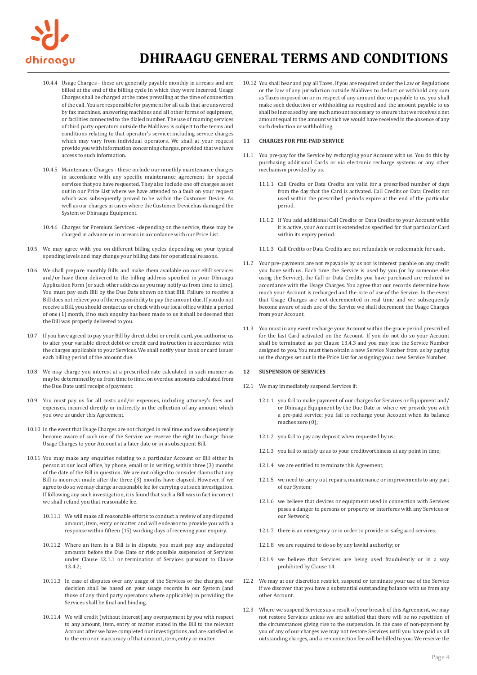

- 10.4.4 Usage Charges these are generally payable monthly in arrears and are billed at the end of the billing cycle in which they were incurred. Usage Charges shall be charged at the rates prevailing at the time of connection of the call. You are responsible for payment for all calls that are answered by fax machines, answering machines and all other forms of equipment, or facilities connected to the dialed number. The use of roaming services of third party operators outside the Maldives is subject to the terms and conditions relating to that operator's service; including service charges which may vary from individual operators. We shall at your request provide you with information concerning charges, provided that we have access to such information.
- 10.4.5 Maintenance Charges these include our monthly maintenance charges in accordance with any specific maintenance agreement for special services that you have requested. They also include one off charges as set out in our Price List where we have attended to a fault on your request which was subsequently proved to be within the Customer Device. As well as our charges in cases where the Customer Devicehas damaged the System or Dhiraagu Equipment.
- 10.4.6 Charges for Premium Services: -depending on the service, these may be charged in advance or in arrears in accordance with our Price List.
- 10.5 We may agree with you on different billing cycles depending on your typical spending levels and may change your billing date for operational reasons.
- 10.6 We shall prepare monthly Bills and make them available on our eBill services and/or have them delivered to the billing address specified in your Dhiraagu Application Form (or such other address as you may notify us from time to time). You must pay each Bill by the Due Date shown on that Bill. Failure to receive a Bill does not relieve you of the responsibility to pay the amount due. If you do not receive a Bill, you should contact us or check with our local office within a period of one (1) month, if no such enquiry has been made to us it shall be deemed that the Bill was properly delivered to you.
- 10.7 If you have agreed to pay your Bill by direct debit or credit card, you authorise us to alter your variable direct debit or credit card instruction in accordance with the charges applicable to your Services. We shall notify your bank or card issuer each billing period of the amount due.
- 10.8 We may charge you interest at a prescribed rate calculated in such manner as may be determined by us from time to time, on overdue amounts calculated from the Due Date until receipt of payment.
- 10.9 You must pay us for all costs and/or expenses, including attorney's fees and expenses, incurred directly or indirectly in the collection of any amount which you owe us under this Agreement.
- 10.10 In the event that Usage Charges are not charged in real time and we subsequently become aware of such use of the Service we reserve the right to charge those Usage Charges to your Account at a later date or in a subsequent Bill.
- 10.11 You may make any enquiries relating to a particular Account or Bill either in person at our local office, by phone, email or in writing, within three (3) months of the date of the Bill in question. We are not obliged to consider claims that any Bill is incorrect made after the three (3) months have elapsed. However, if we agree to do so we may charge a reasonable fee for carrying out such investigation. If following any such investigation, it is found that such a Bill was in fact incorrect we shall refund you that reasonable fee.
	- 10.11.1 We will make all reasonable efforts to conduct a review of any disputed amount, item, entry or matter and will endeavor to provide you with a response within fifteen (15) working days of receiving your enquiry.
	- 10.11.2 Where an item in a Bill is in dispute, you must pay any undisputed amounts before the Due Date or risk possible suspension of Services under Clause 12.1.1 or termination of Services pursuant to Clause 13.4.2;
	- 10.11.3 In case of disputes over any usage of the Services or the charges, our decision shall be based on your usage records in our System (and those of any third party operators where applicable) in providing the Services shall be final and binding.
	- 10.11.4 We will credit (without interest) any overpayment by you with respect to any amount, item, entry or matter stated in the Bill to the relevant Account after we have completed our investigations and are satisfied as to the error or inaccuracy of that amount, item, entry or matter.

10.12 You shall bear and pay all Taxes. If you are required under the Law or Regulations or the law of any jurisdiction outside Maldives to deduct or withhold any sum as Taxes imposed on or in respect of any amount due or payable to us, you shall make such deduction or withholding as required and the amount payable to us shall be increased by any such amount necessary to ensure that we receives a net amount equal to the amount which we would have received in the absence of any such deduction or withholding.

### **11 CHARGES FOR PRE-PAID SERVICE**

- 11.1 You pre-pay for the Service by recharging your Account with us. You do this by purchasing additional Cards or via electronic recharge systems or any other mechanism provided by us.
	- 11.1.1 Call Credits or Data Credits are valid for a prescribed number of days from the day that the Card is activated. Call Credits or Data Credits not used within the prescribed periods expire at the end of the particular period.
	- 11.1.2 If You add additional Call Credits or Data Credits to your Account while it is active, your Account is extended as specified for that particular Card within its expiry period.
	- 11.1.3 Call Credits or Data Credits are not refundable or redeemable for cash.
- 11.2 Your pre-payments are not repayable by us nor is interest payable on any credit you have with us. Each time the Service is used by you (or by someone else using the Service), the Call or Data Credits you have purchased are reduced in accordance with the Usage Charges. You agree that our records determine how much your Account is recharged and the rate of use of the Service. In the event that Usage Charges are not decremented in real time and we subsequently become aware of such use of the Service we shall decrement the Usage Charges from your Account.
- 11.3 You must in any event recharge your Account within the grace period prescribed for the last Card activated on the Account. If you do not do so your Account shall be terminated as per Clause 13.4.3 and you may lose the Service Number assigned to you. You must then obtain a new Service Number from us by paying us the charges set out in the Price List for assigning you a new Service Number.

### **12 SUSPENSION OF SERVICES**

- 12.1 We may immediately suspend Services if:
	- 12.1.1 you fail to make payment of our charges for Services or Equipment and/ or Dhiraagu Equipment by the Due Date or where we provide you with a pre-paid service; you fail to recharge your Account when its balance reaches zero (0);
	- 12.1.2 you fail to pay any deposit when requested by us;
	- 12.1.3 you fail to satisfy us as to your creditworthiness at any point in time;
	- 12.1.4 we are entitled to terminate this Agreement;
	- 12.1.5 we need to carry out repairs, maintenance or improvements to any part of our System;
	- 12.1.6 we believe that devices or equipment used in connection with Services poses a danger to persons or property or interferes with any Services or our Network;
	- 12.1.7 there is an emergency or in order to provide or safeguard services;
	- 12.1.8 we are required to do so by any lawful authority; or
	- 12.1.9 we believe that Services are being used fraudulently or in a way prohibited by Clause 14.
- 12.2 We may at our discretion restrict, suspend or terminate your use of the Service if we discover that you have a substantial outstanding balance with us from any other Account.
- 12.3 Where we suspend Services as a result of your breach of this Agreement, we may not restore Services unless we are satisfied that there will be no repetition of the circumstances giving rise to the suspension. In the case of non-payment by you of any of our charges we may not restore Services until you have paid us all outstanding charges, and a re-connection fee will be billed to you. We reserve the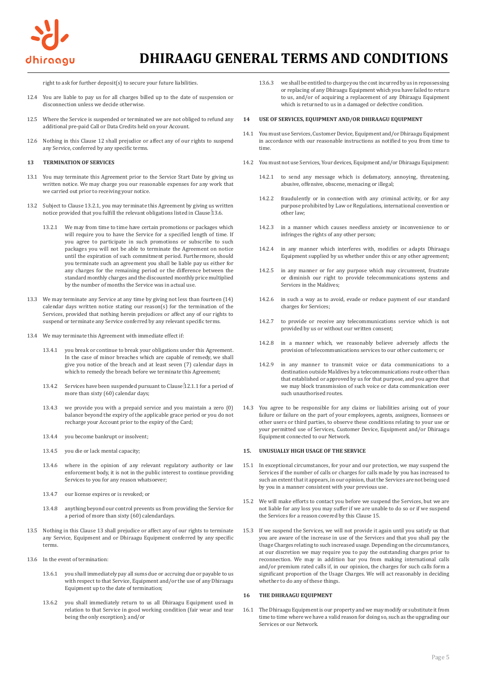

right to ask for further deposit(s) to secure your future liabilities.

- 12.4 You are liable to pay us for all charges billed up to the date of suspension or disconnection unless we decide otherwise.
- 12.5 Where the Service is suspended or terminated we are not obliged to refund any additional pre-paid Call or Data Credits held on your Account.
- 12.6 Nothing in this Clause 12 shall prejudice or affect any of our rights to suspend any Service, conferred by any specific terms.

### **13 TERMINATION OF SERVICES**

- 13.1 You may terminate this Agreement prior to the Service Start Date by giving us written notice. We may charge you our reasonable expenses for any work that we carried out prior to receiving your notice.
- 13.2 Subject to Clause 13.2.1, you may terminate this Agreement by giving us written notice provided that you fulfill the relevant obligations listed in Clause 13.6.
	- 13.2.1 We may from time to time have certain promotions or packages which will require you to have the Service for a specified length of time. If you agree to participate in such promotions or subscribe to such packages you will not be able to terminate the Agreement on notice until the expiration of such commitment period. Furthermore, should you terminate such an agreement you shall be liable pay us either for any charges for the remaining period or the difference between the standard monthly charges and the discounted monthly price multiplied by the number of months the Service was in actual use.
- 13.3 We may terminate any Service at any time by giving not less than fourteen (14) calendar days written notice stating our reason(s) for the termination of the Services, provided that nothing herein prejudices or affect any of our rights to suspend or terminate any Service conferred by any relevant specific terms.
- 13.4 We may terminate this Agreement with immediate effect if:
	- 13.4.1 you break or continue to break your obligations under this Agreement. In the case of minor breaches which are capable of remedy, we shall give you notice of the breach and at least seven (7) calendar days in which to remedy the breach before we terminate this Agreement;
	- 13.4.2 Services have been suspended pursuant to Clause 12.1.1 for a period of more than sixty (60) calendar days;
	- 13.4.3 we provide you with a prepaid service and you maintain a zero (0) balance beyond the expiry of the applicable grace period or you do not recharge your Account prior to the expiry of the Card;
	- 13.4.4 you become bankrupt or insolvent;
	- 13.4.5 you die or lack mental capacity;
	- 13.4.6 where in the opinion of any relevant regulatory authority or law enforcement body, it is not in the public interest to continue providing Services to you for any reason whatsoever;
	- 13.4.7 our license expires or is revoked; or
	- 13.4.8 anything beyond our control prevents us from providing the Service for a period of more than sixty (60) calendardays.
- 13.5 Nothing in this Clause 13 shall prejudice or affect any of our rights to terminate any Service, Equipment and or Dhiraagu Equipment conferred by any specific terms.
- 13.6 In the event of termination:
	- 13.6.1 you shall immediately pay all sums due or accruing due or payable to us with respect to that Service, Equipment and/or the use of any Dhiraagu Equipment up to the date of termination;
	- 13.6.2 you shall immediately return to us all Dhiraagu Equipment used in relation to that Service in good working condition (fair wear and tear being the only exception); and/or
- 13.6.3 we shall be entitled to charge you the cost incurred by us in repossessing or replacing of any Dhiraagu Equipment which you have failed to return to us, and/or of acquiring a replacement of any Dhiraagu Equipment which is returned to us in a damaged or defective condition.
- **14 USE OF SERVICES, EQUIPMENT AND/OR DHIRAAGU EQUIPMENT**
- 14.1 You must use Services, Customer Device, Equipment and/or Dhiraagu Equipment in accordance with our reasonable instructions as notified to you from time to time.
- 14.2 You must not use Services, Your devices, Equipment and/or Dhiraagu Equipment:
	- 14.2.1 to send any message which is defamatory, annoying, threatening, abusive, offensive, obscene, menacing or illegal;
	- 14.2.2 fraudulently or in connection with any criminal activity, or for any purpose prohibited by Law or Regulations, international convention or other law;
	- 14.2.3 in a manner which causes needless anxiety or inconvenience to or infringes the rights of any other person;
	- 14.2.4 in any manner which interferes with, modifies or adapts Dhiraagu Equipment supplied by us whether under this or any other agreement;
	- 14.2.5 in any manner or for any purpose which may circumvent, frustrate or diminish our right to provide telecommunications systems and Services in the Maldives;
	- 14.2.6 in such a way as to avoid, evade or reduce payment of our standard charges for Services;
	- 14.2.7 to provide or receive any telecommunications service which is not provided by us or without our written consent;
	- 14.2.8 in a manner which, we reasonably believe adversely affects the provision of telecommunications services to our other customers; or
	- 14.2.9 in any manner to transmit voice or data communications to a destination outside Maldives by a telecommunications route other than that established or approved by us for that purpose, and you agree that we may block transmission of such voice or data communication over such unauthorised routes.
- 14.3 You agree to be responsible for any claims or liabilities arising out of your failure or failure on the part of your employees, agents, assignees, licensees or other users or third parties, to observe these conditions relating to your use or your permitted use of Services, Customer Device, Equipment and/or Dhiraagu Equipment connected to our Network.

#### **15. UNUSUALLY HIGH USAGE OF THE SERVICE**

- 15.1 In exceptional circumstances, for your and our protection, we may suspend the Services if the number of calls or charges for calls made by you has increased to such an extent that it appears, in our opinion, that the Services are not being used by you in a manner consistent with your previous use.
- 15.2 We will make efforts to contact you before we suspend the Services, but we are not liable for any loss you may suffer if we are unable to do so or if we suspend the Services for a reason covered by this Clause 15.
- 15.3 If we suspend the Services, we will not provide it again until you satisfy us that you are aware of the increase in use of the Services and that you shall pay the Usage Charges relating to such increased usage. Depending on the circumstances, at our discretion we may require you to pay the outstanding charges prior to reconnection. We may in addition bar you from making international calls and/or premium rated calls if, in our opinion, the charges for such calls form a significant proportion of the Usage Charges. We will act reasonably in deciding whether to do any of these things.

#### **16 THE DHIRAAGU EQUIPMENT**

16.1 The Dhiraagu Equipment is our property and we may modify or substitute it from time to time where we have a valid reason for doing so, such as the upgrading our Services or our Network.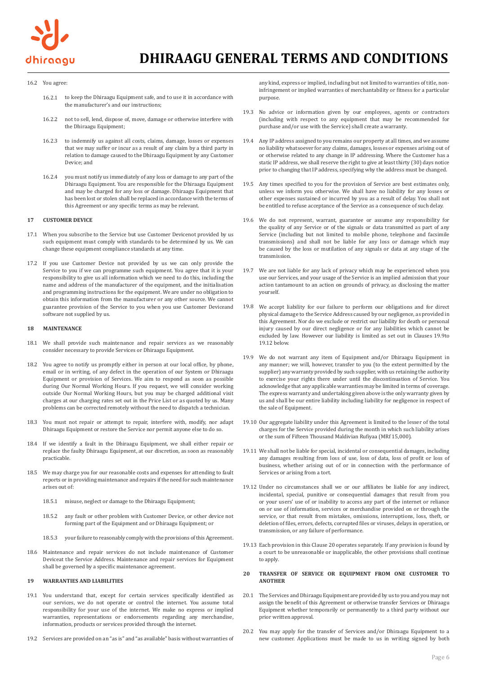

## 16.2 You agree:

- 16.2.1 to keep the Dhiraagu Equipment safe, and to use it in accordance with the manufacturer's and our instructions;
- 16.2.2 not to sell, lend, dispose of, move, damage or otherwise interfere with the Dhiraagu Equipment;
- 16.2.3 to indemnify us against all costs, claims, damage, losses or expenses that we may suffer or incur as a result of any claim by a third party in relation to damage caused to the Dhiraagu Equipment by any Customer Device; and
- 16.2.4 you must notify us immediately of any loss or damage to any part of the Dhiraagu Equipment. You are responsible for the Dhiraagu Equipment and may be charged for any loss or damage. Dhiraagu Equipment that has been lost or stolen shall be replaced in accordance with the terms of this Agreement or any specific terms as may be relevant.

### **17 CUSTOMER DEVICE**

- 17.1 When you subscribe to the Service but use Customer Devicenot provided by us such equipment must comply with standards to be determined by us. We can change these equipment compliance standards at any time.
- 17.2 If you use Customer Device not provided by us we can only provide the Service to you if we can programme such equipment. You agree that it is your responsibility to give us all information which we need to do this, including the name and address of the manufacturer of the equipment, and the initialisation and programming instructions for the equipment. We are under no obligation to obtain this information from the manufacturer or any other source. We cannot guarantee provision of the Service to you when you use Customer Deviceand software not supplied by us.

#### **18 MAINTENANCE**

- 18.1 We shall provide such maintenance and repair services as we reasonably consider necessary to provide Services or Dhiraagu Equipment.
- 18.2 You agree to notify us promptly either in person at our local office, by phone, email or in writing, of any defect in the operation of our System or Dhiraagu Equipment or provision of Services. We aim to respond as soon as possible during Our Normal Working Hours. If you request, we will consider working outside Our Normal Working Hours, but you may be charged additional visit charges at our charging rates set out in the Price List or as quoted by us. Many problems can be corrected remotely without the need to dispatch a technician.
- 18.3 You must not repair or attempt to repair, interfere with, modify, nor adapt Dhiraagu Equipment or restore the Service nor permit anyone else to do so.
- 18.4 If we identify a fault in the Dhiraagu Equipment, we shall either repair or replace the faulty Dhiraagu Equipment, at our discretion, as soon as reasonably practicable.
- 18.5 We may charge you for our reasonable costs and expenses for attending to fault reports or in providing maintenance and repairs if the need for such maintenance arises out of:
	- 18.5.1 misuse, neglect or damage to the Dhiraagu Equipment;
	- 18.5.2 any fault or other problem with Customer Device, or other device not forming part of the Equipment and or Dhiraagu Equipment; or
	- 18.5.3 your failure to reasonably comply with the provisions of this Agreement.
- 18.6 Maintenance and repair services do not include maintenance of Customer Deviceat the Service Address. Maintenance and repair services for Equipment shall be governed by a specific maintenance agreement.

#### **19 WARRANTIES AND LIABILITIES**

- 19.1 You understand that, except for certain services specifically identified as our services, we do not operate or control the internet. You assume total responsibility for your use of the internet. We make no express or implied warranties, representations or endorsements regarding any merchandise, information, products or services provided through the internet.
- 19.2 Services are provided on an "as is" and "as available" basis without warranties of

any kind, express or implied, including but not limited to warranties of title, noninfringement or implied warranties of merchantability or fitness for a particular purpose.

- 19.3 No advice or information given by our employees, agents or contractors (including with respect to any equipment that may be recommended for purchase and/or use with the Service) shall create a warranty.
- 19.4 Any IP address assigned to you remains our property at all times, and we assume no liability whatsoever for any claims, damages, losses or expenses arising out of or otherwise related to any change in IP addressing. Where the Customer has a static IP address, we shall reserve the right to give at least thirty (30) days notice prior to changing that IP address, specifying why the address must be changed.
- 19.5 Any times specified to you for the provision of Service are best estimates only, unless we inform you otherwise. We shall have no liability for any losses or other expenses sustained or incurred by you as a result of delay. You shall not be entitled to refuse acceptance of the Service as a consequence of such delay.
- 19.6 We do not represent, warrant, guarantee or assume any responsibility for the quality of any Service or of the signals or data transmitted as part of any Service (including but not limited to mobile phone, telephone and facsimile transmissions) and shall not be liable for any loss or damage which may be caused by the loss or mutilation of any signals or data at any stage of the transmission.
- 19.7 We are not liable for any lack of privacy which may be experienced when you use our Services, and your usage of the Service is an implied admission that your action tantamount to an action on grounds of privacy, as disclosing the matter yourself.
- 19.8 We accept liability for our failure to perform our obligations and for direct physical damage to the Service Address caused by our negligence, as provided in this Agreement. Nor do we exclude or restrict our liability for death or personal injury caused by our direct negligence or for any liabilities which cannot be excluded by law. However our liability is limited as set out in Clauses 19.9to 19.12 below.
- 19.9 We do not warrant any item of Equipment and/or Dhiraagu Equipment in any manner; we will, however, transfer to you (to the extent permitted by the supplier) any warranty provided by such supplier, with us retaining the authority to exercise your rights there under until the discontinuation of Service. You acknowledge that any applicable warranties may be limited in terms of coverage. The express warranty and undertaking given above is the only warranty given by us and shall be our entire liability including liability for negligence in respect of the sale of Equipment.
- 19.10 Our aggregate liability under this Agreement is limited to the lesser of the total charges for the Service provided during the month in which such liability arises or the sum of Fifteen Thousand Maldivian Rufiyaa (MRf 15,000).
- 19.11 We shall not be liable for special, incidental or consequential damages, including any damages resulting from loss of use, loss of data, loss of profit or loss of business, whether arising out of or in connection with the performance of Services or arising from a tort.
- 19.12 Under no circumstances shall we or our affiliates be liable for any indirect, incidental, special, punitive or consequential damages that result from you or your users' use of or inability to access any part of the internet or reliance on or use of information, services or merchandise provided on or through the service, or that result from mistakes, omissions, interruptions, loss, theft, or deletion of files, errors, defects, corrupted files or viruses, delays in operation, or transmission, or any failure of performance.
- 19.13 Each provision in this Clause 20 operates separately. If any provision is found by a court to be unreasonable or inapplicable, the other provisions shall continue to apply.

### **20 TRANSFER OF SERVICE OR EQUIPMENT FROM ONE CUSTOMER TO ANOTHER**

- 20.1 The Services and Dhiraagu Equipment are provided by us to you and you may not assign the benefit of this Agreement or otherwise transfer Services or Dhiraagu Equipment whether temporarily or permanently to a third party without our prior written approval.
- 20.2 You may apply for the transfer of Services and/or Dhiraagu Equipment to a new customer. Applications must be made to us in writing signed by both